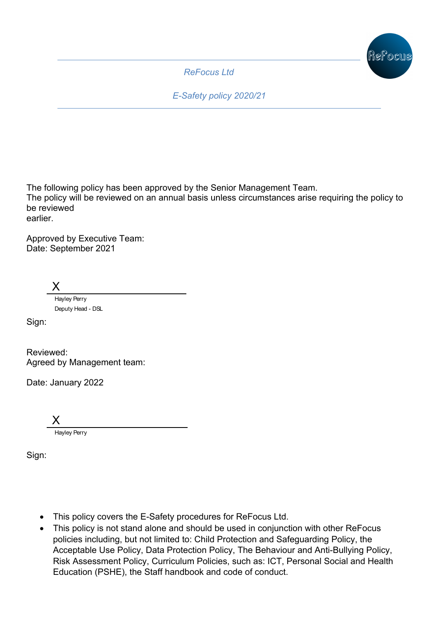

*ReFocus Ltd*

*E-Safety policy 2020/21*

The following policy has been approved by the Senior Management Team.

The policy will be reviewed on an annual basis unless circumstances arise requiring the policy to be reviewed earlier.

Approved by Executive Team: Date: September 2021

X

Hayley Perry Deputy Head - DSL

Sign:

Reviewed: Agreed by Management team:

Date: January 2022

X Hayley Perry

Sign:

- This policy covers the E-Safety procedures for ReFocus Ltd.
- This policy is not stand alone and should be used in conjunction with other ReFocus policies including, but not limited to: Child Protection and Safeguarding Policy, the Acceptable Use Policy, Data Protection Policy, The Behaviour and Anti-Bullying Policy, Risk Assessment Policy, Curriculum Policies, such as: ICT, Personal Social and Health Education (PSHE), the Staff handbook and code of conduct.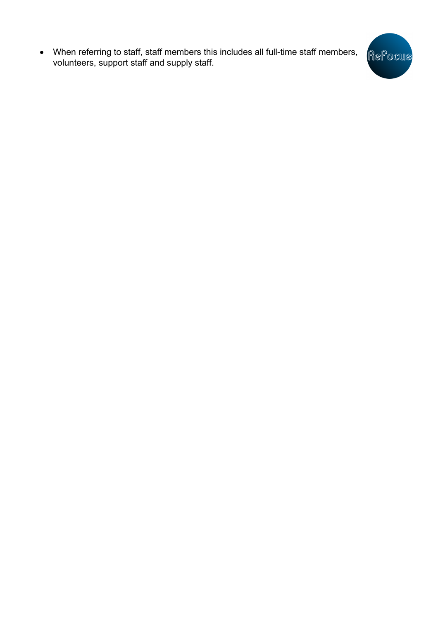• When referring to staff, staff members this includes all full-time staff members, volunteers, support staff and supply staff.

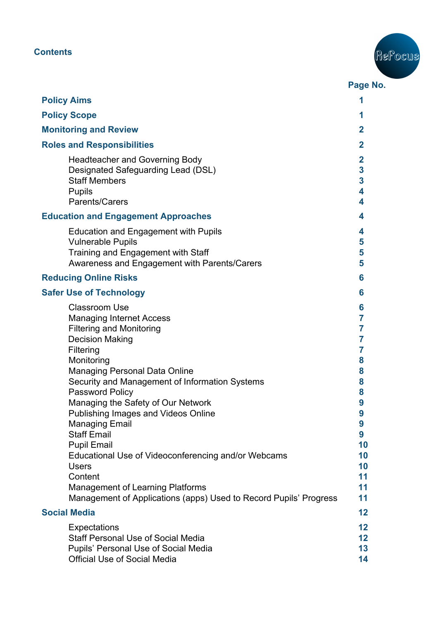# **Contents**



|                                                                                                                                                                                                                                                                                                                                                                                                                                                                                                                                                                                                                  | Page No.                                                                                          |
|------------------------------------------------------------------------------------------------------------------------------------------------------------------------------------------------------------------------------------------------------------------------------------------------------------------------------------------------------------------------------------------------------------------------------------------------------------------------------------------------------------------------------------------------------------------------------------------------------------------|---------------------------------------------------------------------------------------------------|
| <b>Policy Aims</b>                                                                                                                                                                                                                                                                                                                                                                                                                                                                                                                                                                                               |                                                                                                   |
| <b>Policy Scope</b>                                                                                                                                                                                                                                                                                                                                                                                                                                                                                                                                                                                              | 1                                                                                                 |
| <b>Monitoring and Review</b>                                                                                                                                                                                                                                                                                                                                                                                                                                                                                                                                                                                     | $\mathbf{2}$                                                                                      |
| <b>Roles and Responsibilities</b>                                                                                                                                                                                                                                                                                                                                                                                                                                                                                                                                                                                | $\overline{2}$                                                                                    |
| <b>Headteacher and Governing Body</b><br>Designated Safeguarding Lead (DSL)<br><b>Staff Members</b><br><b>Pupils</b><br>Parents/Carers                                                                                                                                                                                                                                                                                                                                                                                                                                                                           | $\mathbf{2}$<br>$\mathbf{3}$<br>$\mathbf{3}$<br>4<br>4                                            |
| <b>Education and Engagement Approaches</b>                                                                                                                                                                                                                                                                                                                                                                                                                                                                                                                                                                       | 4                                                                                                 |
| <b>Education and Engagement with Pupils</b><br><b>Vulnerable Pupils</b><br>Training and Engagement with Staff<br>Awareness and Engagement with Parents/Carers                                                                                                                                                                                                                                                                                                                                                                                                                                                    | 4<br>5<br>5<br>5                                                                                  |
| <b>Reducing Online Risks</b>                                                                                                                                                                                                                                                                                                                                                                                                                                                                                                                                                                                     | 6                                                                                                 |
| <b>Safer Use of Technology</b>                                                                                                                                                                                                                                                                                                                                                                                                                                                                                                                                                                                   | 6                                                                                                 |
| <b>Classroom Use</b><br><b>Managing Internet Access</b><br><b>Filtering and Monitoring</b><br><b>Decision Making</b><br>Filtering<br>Monitoring<br><b>Managing Personal Data Online</b><br>Security and Management of Information Systems<br>Password Policy<br>Managing the Safety of Our Network<br>Publishing Images and Videos Online<br><b>Managing Email</b><br><b>Staff Email</b><br><b>Pupil Email</b><br>Educational Use of Videoconferencing and/or Webcams<br><b>Users</b><br>Content<br><b>Management of Learning Platforms</b><br>Management of Applications (apps) Used to Record Pupils' Progress | 6<br>7<br>7<br>7<br>7<br>8<br>8<br>8<br>8<br>9<br>9<br>9<br>9<br>10<br>10<br>10<br>11<br>11<br>11 |
| <b>Social Media</b>                                                                                                                                                                                                                                                                                                                                                                                                                                                                                                                                                                                              | 12                                                                                                |
| <b>Expectations</b><br><b>Staff Personal Use of Social Media</b><br>Pupils' Personal Use of Social Media<br><b>Official Use of Social Media</b>                                                                                                                                                                                                                                                                                                                                                                                                                                                                  | 12<br>12<br>13<br>14                                                                              |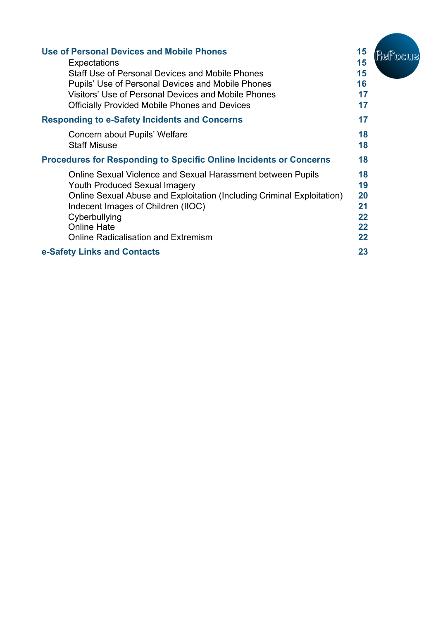| <b>Use of Personal Devices and Mobile Phones</b>                          | 15 | Hel ocus |
|---------------------------------------------------------------------------|----|----------|
| Expectations                                                              | 15 |          |
| <b>Staff Use of Personal Devices and Mobile Phones</b>                    | 15 |          |
| Pupils' Use of Personal Devices and Mobile Phones                         | 16 |          |
| Visitors' Use of Personal Devices and Mobile Phones                       | 17 |          |
| <b>Officially Provided Mobile Phones and Devices</b>                      | 17 |          |
| <b>Responding to e-Safety Incidents and Concerns</b>                      | 17 |          |
| Concern about Pupils' Welfare                                             | 18 |          |
| <b>Staff Misuse</b>                                                       | 18 |          |
| <b>Procedures for Responding to Specific Online Incidents or Concerns</b> | 18 |          |
| Online Sexual Violence and Sexual Harassment between Pupils               | 18 |          |
| <b>Youth Produced Sexual Imagery</b>                                      | 19 |          |
| Online Sexual Abuse and Exploitation (Including Criminal Exploitation)    | 20 |          |
| Indecent Images of Children (IIOC)                                        | 21 |          |
| Cyberbullying                                                             | 22 |          |
| <b>Online Hate</b>                                                        | 22 |          |
| <b>Online Radicalisation and Extremism</b>                                | 22 |          |
| e-Safety Links and Contacts                                               | 23 |          |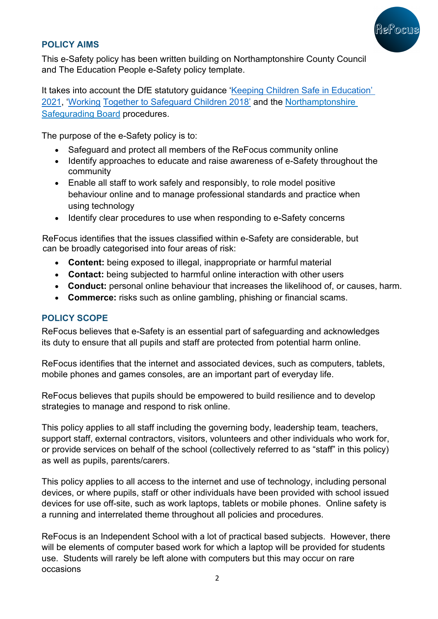

## **POLICY AIMS**

This e-Safety policy has been written building on Northamptonshire County Council and The Education People e-Safety policy template.

It takes into account the DfE statutory guidance 'Keeping Children Safe in Education' 2021, 'Working Together to Safeguard Children 2018' and the Northamptonshire Safegurading Board procedures.

The purpose of the e-Safety policy is to:

- Safeguard and protect all members of the ReFocus community online
- Identify approaches to educate and raise awareness of e-Safety throughout the community
- Enable all staff to work safely and responsibly, to role model positive behaviour online and to manage professional standards and practice when using technology
- Identify clear procedures to use when responding to e-Safety concerns

ReFocus identifies that the issues classified within e-Safety are considerable, but can be broadly categorised into four areas of risk:

- **Content:** being exposed to illegal, inappropriate or harmful material
- **Contact:** being subjected to harmful online interaction with other users
- **Conduct:** personal online behaviour that increases the likelihood of, or causes, harm.
- **Commerce:** risks such as online gambling, phishing or financial scams.

## **POLICY SCOPE**

ReFocus believes that e-Safety is an essential part of safeguarding and acknowledges its duty to ensure that all pupils and staff are protected from potential harm online.

ReFocus identifies that the internet and associated devices, such as computers, tablets, mobile phones and games consoles, are an important part of everyday life.

ReFocus believes that pupils should be empowered to build resilience and to develop strategies to manage and respond to risk online.

This policy applies to all staff including the governing body, leadership team, teachers, support staff, external contractors, visitors, volunteers and other individuals who work for, or provide services on behalf of the school (collectively referred to as "staff" in this policy) as well as pupils, parents/carers.

This policy applies to all access to the internet and use of technology, including personal devices, or where pupils, staff or other individuals have been provided with school issued devices for use off-site, such as work laptops, tablets or mobile phones. Online safety is a running and interrelated theme throughout all policies and procedures.

ReFocus is an Independent School with a lot of practical based subjects. However, there will be elements of computer based work for which a laptop will be provided for students use. Students will rarely be left alone with computers but this may occur on rare occasions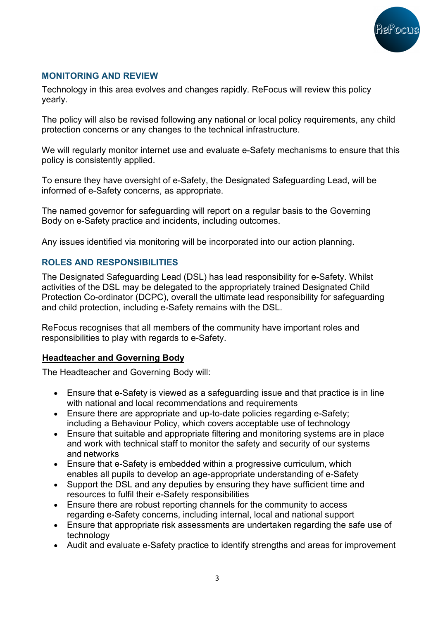

## **MONITORING AND REVIEW**

Technology in this area evolves and changes rapidly. ReFocus will review this policy yearly.

The policy will also be revised following any national or local policy requirements, any child protection concerns or any changes to the technical infrastructure.

We will regularly monitor internet use and evaluate e-Safety mechanisms to ensure that this policy is consistently applied.

To ensure they have oversight of e-Safety, the Designated Safeguarding Lead, will be informed of e-Safety concerns, as appropriate.

The named governor for safeguarding will report on a regular basis to the Governing Body on e-Safety practice and incidents, including outcomes.

Any issues identified via monitoring will be incorporated into our action planning.

## **ROLES AND RESPONSIBILITIES**

The Designated Safeguarding Lead (DSL) has lead responsibility for e-Safety. Whilst activities of the DSL may be delegated to the appropriately trained Designated Child Protection Co-ordinator (DCPC), overall the ultimate lead responsibility for safeguarding and child protection, including e-Safety remains with the DSL.

ReFocus recognises that all members of the community have important roles and responsibilities to play with regards to e-Safety.

## **Headteacher and Governing Body**

The Headteacher and Governing Body will:

- Ensure that e-Safety is viewed as a safeguarding issue and that practice is in line with national and local recommendations and requirements
- Ensure there are appropriate and up-to-date policies regarding e-Safety; including a Behaviour Policy, which covers acceptable use of technology
- Ensure that suitable and appropriate filtering and monitoring systems are in place and work with technical staff to monitor the safety and security of our systems and networks
- Ensure that e-Safety is embedded within a progressive curriculum, which enables all pupils to develop an age-appropriate understanding of e-Safety
- Support the DSL and any deputies by ensuring they have sufficient time and resources to fulfil their e-Safety responsibilities
- Ensure there are robust reporting channels for the community to access regarding e-Safety concerns, including internal, local and national support
- Ensure that appropriate risk assessments are undertaken regarding the safe use of technology
- Audit and evaluate e-Safety practice to identify strengths and areas for improvement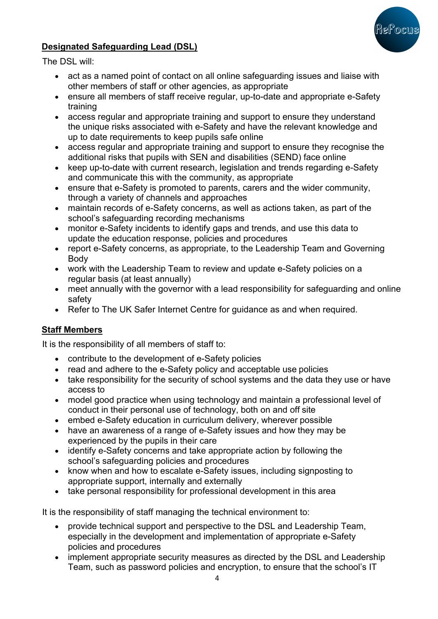

## **Designated Safeguarding Lead (DSL)**

The DSL will:

- act as a named point of contact on all online safeguarding issues and liaise with other members of staff or other agencies, as appropriate
- ensure all members of staff receive regular, up-to-date and appropriate e-Safety training
- access regular and appropriate training and support to ensure they understand the unique risks associated with e-Safety and have the relevant knowledge and up to date requirements to keep pupils safe online
- access regular and appropriate training and support to ensure they recognise the additional risks that pupils with SEN and disabilities (SEND) face online
- keep up-to-date with current research, legislation and trends regarding e-Safety and communicate this with the community, as appropriate
- ensure that e-Safety is promoted to parents, carers and the wider community, through a variety of channels and approaches
- maintain records of e-Safety concerns, as well as actions taken, as part of the school's safeguarding recording mechanisms
- monitor e-Safety incidents to identify gaps and trends, and use this data to update the education response, policies and procedures
- report e-Safety concerns, as appropriate, to the Leadership Team and Governing Body
- work with the Leadership Team to review and update e-Safety policies on a regular basis (at least annually)
- meet annually with the governor with a lead responsibility for safeguarding and online safety
- Refer to The UK Safer Internet Centre for guidance as and when required.

## **Staff Members**

It is the responsibility of all members of staff to:

- contribute to the development of e-Safety policies
- read and adhere to the e-Safety policy and acceptable use policies
- take responsibility for the security of school systems and the data they use or have access to
- model good practice when using technology and maintain a professional level of conduct in their personal use of technology, both on and off site
- embed e-Safety education in curriculum delivery, wherever possible
- have an awareness of a range of e-Safety issues and how they may be experienced by the pupils in their care
- identify e-Safety concerns and take appropriate action by following the school's safeguarding policies and procedures
- know when and how to escalate e-Safety issues, including signposting to appropriate support, internally and externally
- take personal responsibility for professional development in this area

It is the responsibility of staff managing the technical environment to:

- provide technical support and perspective to the DSL and Leadership Team, especially in the development and implementation of appropriate e-Safety policies and procedures
- implement appropriate security measures as directed by the DSL and Leadership Team, such as password policies and encryption, to ensure that the school's IT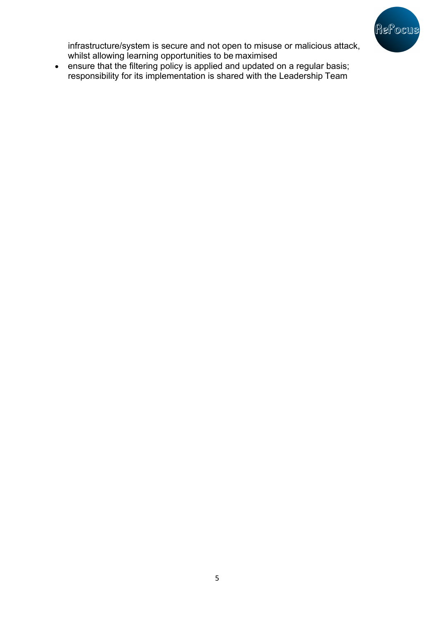

infrastructure/system is secure and not open to misuse or malicious attack, whilst allowing learning opportunities to be maximised

• ensure that the filtering policy is applied and updated on a regular basis; responsibility for its implementation is shared with the Leadership Team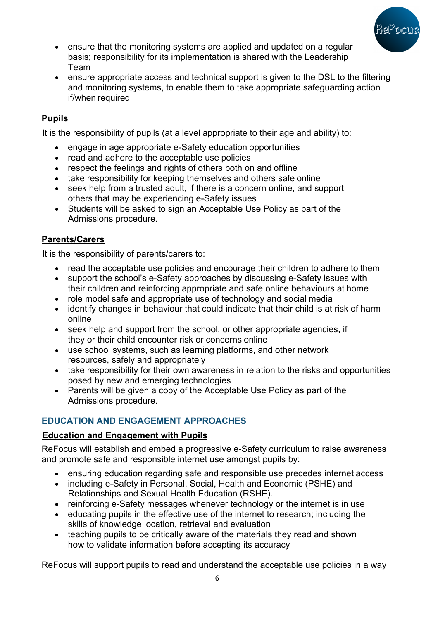

- ensure that the monitoring systems are applied and updated on a regular basis; responsibility for its implementation is shared with the Leadership Team
- ensure appropriate access and technical support is given to the DSL to the filtering and monitoring systems, to enable them to take appropriate safeguarding action if/when required

## **Pupils**

It is the responsibility of pupils (at a level appropriate to their age and ability) to:

- engage in age appropriate e-Safety education opportunities
- read and adhere to the acceptable use policies
- respect the feelings and rights of others both on and offline
- take responsibility for keeping themselves and others safe online
- seek help from a trusted adult, if there is a concern online, and support others that may be experiencing e-Safety issues
- Students will be asked to sign an Acceptable Use Policy as part of the Admissions procedure.

## **Parents/Carers**

It is the responsibility of parents/carers to:

- read the acceptable use policies and encourage their children to adhere to them
- support the school's e-Safety approaches by discussing e-Safety issues with their children and reinforcing appropriate and safe online behaviours at home
- role model safe and appropriate use of technology and social media
- identify changes in behaviour that could indicate that their child is at risk of harm online
- seek help and support from the school, or other appropriate agencies, if they or their child encounter risk or concerns online
- use school systems, such as learning platforms, and other network resources, safely and appropriately
- take responsibility for their own awareness in relation to the risks and opportunities posed by new and emerging technologies
- Parents will be given a copy of the Acceptable Use Policy as part of the Admissions procedure.

## **EDUCATION AND ENGAGEMENT APPROACHES**

## **Education and Engagement with Pupils**

ReFocus will establish and embed a progressive e-Safety curriculum to raise awareness and promote safe and responsible internet use amongst pupils by:

- ensuring education regarding safe and responsible use precedes internet access
- including e-Safety in Personal, Social, Health and Economic (PSHE) and Relationships and Sexual Health Education (RSHE).
- reinforcing e-Safety messages whenever technology or the internet is in use
- educating pupils in the effective use of the internet to research; including the skills of knowledge location, retrieval and evaluation
- teaching pupils to be critically aware of the materials they read and shown how to validate information before accepting its accuracy

ReFocus will support pupils to read and understand the acceptable use policies in a way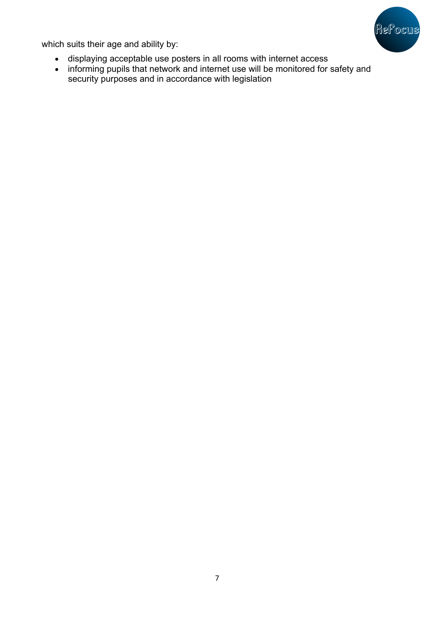

which suits their age and ability by:

- displaying acceptable use posters in all rooms with internet access
- informing pupils that network and internet use will be monitored for safety and security purposes and in accordance with legislation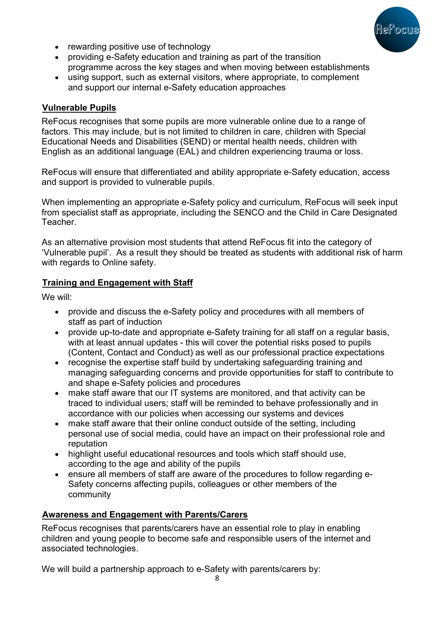

- rewarding positive use of technology
- providing e-Safety education and training as part of the transition programme across the key stages and when moving between establishments
- using support, such as external visitors, where appropriate, to complement and support our internal e-Safety education approaches

#### **Vulnerable Pupils**

ReFocus recognises that some pupils are more vulnerable online due to a range of factors. This may include, but is not limited to children in care, children with Special Educational Needs and Disabilities (SEND) or mental health needs, children with English as an additional language (EAL) and children experiencing trauma or loss.

ReFocus will ensure that differentiated and ability appropriate e-Safety education, access and support is provided to vulnerable pupils.

When implementing an appropriate e-Safety policy and curriculum, ReFocus will seek input from specialist staff as appropriate, including the SENCO and the Child in Care Designated Teacher.

As an alternative provision most students that attend ReFocus fit into the category of 'Vulnerable pupil'. As a result they should be treated as students with additional risk of harm with regards to Online safety.

## **Training and Engagement with Staff**

We will:

- provide and discuss the e-Safety policy and procedures with all members of staff as part of induction
- provide up-to-date and appropriate e-Safety training for all staff on a regular basis, with at least annual updates - this will cover the potential risks posed to pupils (Content, Contact and Conduct) as well as our professional practice expectations
- recognise the expertise staff build by undertaking safeguarding training and managing safeguarding concerns and provide opportunities for staff to contribute to and shape e-Safety policies and procedures
- make staff aware that our IT systems are monitored, and that activity can be traced to individual users; staff will be reminded to behave professionally and in accordance with our policies when accessing our systems and devices
- make staff aware that their online conduct outside of the setting, including personal use of social media, could have an impact on their professional role and reputation
- highlight useful educational resources and tools which staff should use, according to the age and ability of the pupils
- ensure all members of staff are aware of the procedures to follow regarding e-Safety concerns affecting pupils, colleagues or other members of the community

## **Awareness and Engagement with Parents/Carers**

ReFocus recognises that parents/carers have an essential role to play in enabling children and young people to become safe and responsible users of the internet and associated technologies.

We will build a partnership approach to e-Safety with parents/carers by: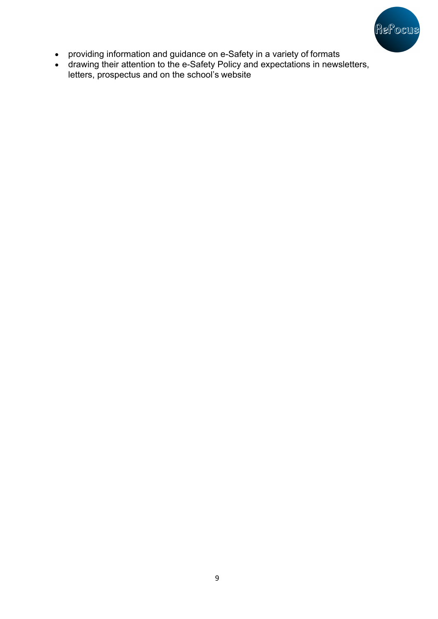

- providing information and guidance on e-Safety in a variety of formats
- drawing their attention to the e-Safety Policy and expectations in newsletters, letters, prospectus and on the school's website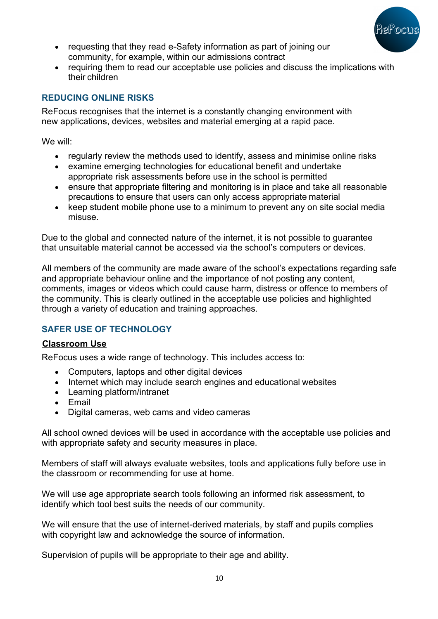

- requesting that they read e-Safety information as part of joining our community, for example, within our admissions contract
- requiring them to read our acceptable use policies and discuss the implications with their children

## **REDUCING ONLINE RISKS**

ReFocus recognises that the internet is a constantly changing environment with new applications, devices, websites and material emerging at a rapid pace.

We will:

- regularly review the methods used to identify, assess and minimise online risks
- examine emerging technologies for educational benefit and undertake appropriate risk assessments before use in the school is permitted
- ensure that appropriate filtering and monitoring is in place and take all reasonable precautions to ensure that users can only access appropriate material
- keep student mobile phone use to a minimum to prevent any on site social media misuse.

Due to the global and connected nature of the internet, it is not possible to guarantee that unsuitable material cannot be accessed via the school's computers or devices.

All members of the community are made aware of the school's expectations regarding safe and appropriate behaviour online and the importance of not posting any content, comments, images or videos which could cause harm, distress or offence to members of the community. This is clearly outlined in the acceptable use policies and highlighted through a variety of education and training approaches.

## **SAFER USE OF TECHNOLOGY**

## **Classroom Use**

ReFocus uses a wide range of technology. This includes access to:

- Computers, laptops and other digital devices
- Internet which may include search engines and educational websites
- Learning platform/intranet
- Email
- Digital cameras, web cams and video cameras

All school owned devices will be used in accordance with the acceptable use policies and with appropriate safety and security measures in place.

Members of staff will always evaluate websites, tools and applications fully before use in the classroom or recommending for use at home.

We will use age appropriate search tools following an informed risk assessment, to identify which tool best suits the needs of our community.

We will ensure that the use of internet-derived materials, by staff and pupils complies with copyright law and acknowledge the source of information.

Supervision of pupils will be appropriate to their age and ability.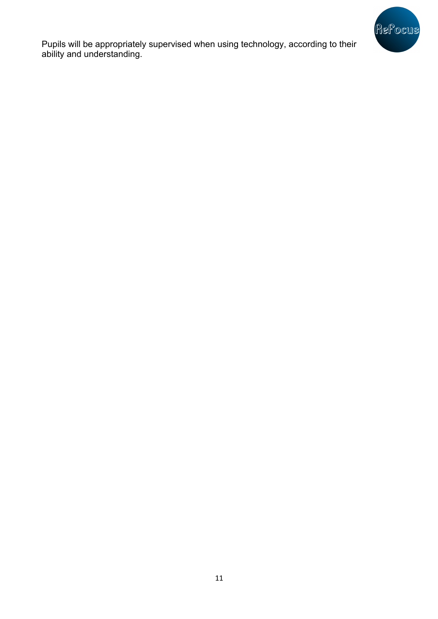

Pupils will be appropriately supervised when using technology, according to their ability and understanding.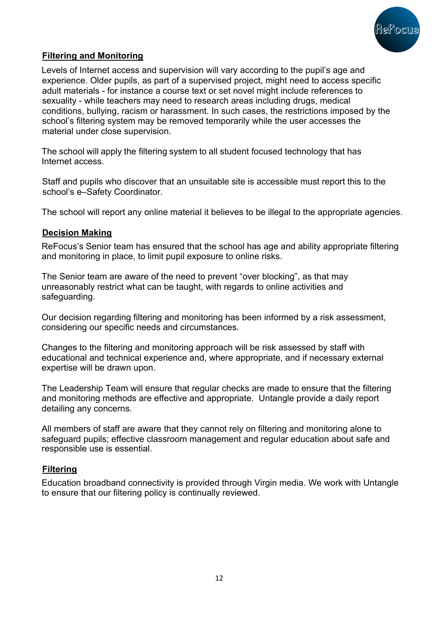

## **Filtering and Monitoring**

Levels of Internet access and supervision will vary according to the pupil's age and experience. Older pupils, as part of a supervised project, might need to access specific adult materials - for instance a course text or set novel might include references to sexuality - while teachers may need to research areas including drugs, medical conditions, bullying, racism or harassment. In such cases, the restrictions imposed by the school's filtering system may be removed temporarily while the user accesses the material under close supervision.

The school will apply the filtering system to all student focused technology that has Internet access.

Staff and pupils who discover that an unsuitable site is accessible must report this to the school's e–Safety Coordinator.

The school will report any online material it believes to be illegal to the appropriate agencies.

#### **Decision Making**

ReFocus's Senior team has ensured that the school has age and ability appropriate filtering and monitoring in place, to limit pupil exposure to online risks.

The Senior team are aware of the need to prevent "over blocking", as that may unreasonably restrict what can be taught, with regards to online activities and safeguarding.

Our decision regarding filtering and monitoring has been informed by a risk assessment, considering our specific needs and circumstances.

Changes to the filtering and monitoring approach will be risk assessed by staff with educational and technical experience and, where appropriate, and if necessary external expertise will be drawn upon.

The Leadership Team will ensure that regular checks are made to ensure that the filtering and monitoring methods are effective and appropriate. Untangle provide a daily report detailing any concerns.

All members of staff are aware that they cannot rely on filtering and monitoring alone to safeguard pupils; effective classroom management and regular education about safe and responsible use is essential.

#### **Filtering**

Education broadband connectivity is provided through Virgin media. We work with Untangle to ensure that our filtering policy is continually reviewed.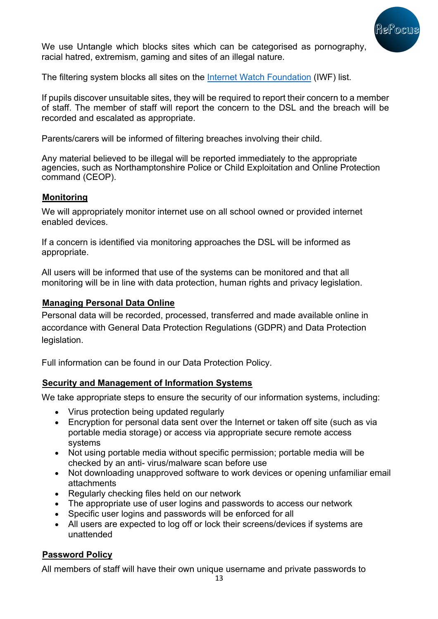

We use Untangle which blocks sites which can be categorised as pornography, racial hatred, extremism, gaming and sites of an illegal nature.

The filtering system blocks all sites on the Internet Watch Foundation (IWF) list.

If pupils discover unsuitable sites, they will be required to report their concern to a member of staff. The member of staff will report the concern to the DSL and the breach will be recorded and escalated as appropriate.

Parents/carers will be informed of filtering breaches involving their child.

Any material believed to be illegal will be reported immediately to the appropriate agencies, such as Northamptonshire Police or Child Exploitation and Online Protection command (CEOP).

### **Monitoring**

We will appropriately monitor internet use on all school owned or provided internet enabled devices.

If a concern is identified via monitoring approaches the DSL will be informed as appropriate.

All users will be informed that use of the systems can be monitored and that all monitoring will be in line with data protection, human rights and privacy legislation.

### **Managing Personal Data Online**

Personal data will be recorded, processed, transferred and made available online in accordance with General Data Protection Regulations (GDPR) and Data Protection legislation.

Full information can be found in our Data Protection Policy.

## **Security and Management of Information Systems**

We take appropriate steps to ensure the security of our information systems, including:

- Virus protection being updated regularly
- Encryption for personal data sent over the Internet or taken off site (such as via portable media storage) or access via appropriate secure remote access systems
- Not using portable media without specific permission; portable media will be checked by an anti- virus/malware scan before use
- Not downloading unapproved software to work devices or opening unfamiliar email attachments
- Regularly checking files held on our network
- The appropriate use of user logins and passwords to access our network
- Specific user logins and passwords will be enforced for all
- All users are expected to log off or lock their screens/devices if systems are unattended

## **Password Policy**

All members of staff will have their own unique username and private passwords to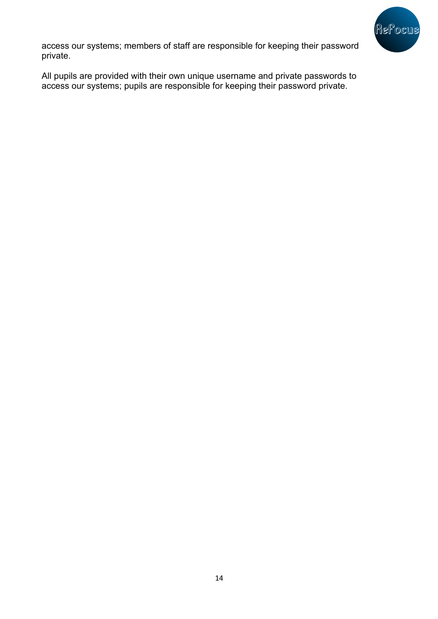

access our systems; members of staff are responsible for keeping their password private.

All pupils are provided with their own unique username and private passwords to access our systems; pupils are responsible for keeping their password private.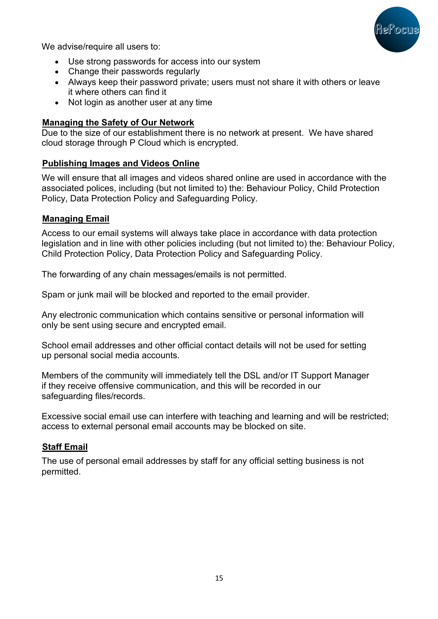

We advise/require all users to:

- Use strong passwords for access into our system
- Change their passwords regularly
- Always keep their password private; users must not share it with others or leave it where others can find it
- Not login as another user at any time

### **Managing the Safety of Our Network**

Due to the size of our establishment there is no network at present. We have shared cloud storage through P Cloud which is encrypted.

## **Publishing Images and Videos Online**

We will ensure that all images and videos shared online are used in accordance with the associated polices, including (but not limited to) the: Behaviour Policy, Child Protection Policy, Data Protection Policy and Safeguarding Policy.

### **Managing Email**

Access to our email systems will always take place in accordance with data protection legislation and in line with other policies including (but not limited to) the: Behaviour Policy, Child Protection Policy, Data Protection Policy and Safeguarding Policy.

The forwarding of any chain messages/emails is not permitted.

Spam or junk mail will be blocked and reported to the email provider.

Any electronic communication which contains sensitive or personal information will only be sent using secure and encrypted email.

School email addresses and other official contact details will not be used for setting up personal social media accounts.

Members of the community will immediately tell the DSL and/or IT Support Manager if they receive offensive communication, and this will be recorded in our safeguarding files/records.

Excessive social email use can interfere with teaching and learning and will be restricted; access to external personal email accounts may be blocked on site.

## **Staff Email**

The use of personal email addresses by staff for any official setting business is not permitted.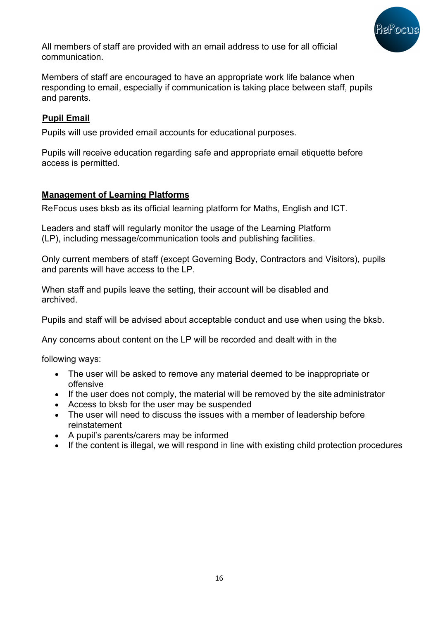

All members of staff are provided with an email address to use for all official communication.

Members of staff are encouraged to have an appropriate work life balance when responding to email, especially if communication is taking place between staff, pupils and parents.

## **Pupil Email**

Pupils will use provided email accounts for educational purposes.

Pupils will receive education regarding safe and appropriate email etiquette before access is permitted.

### **Management of Learning Platforms**

ReFocus uses bksb as its official learning platform for Maths, English and ICT.

Leaders and staff will regularly monitor the usage of the Learning Platform (LP), including message/communication tools and publishing facilities.

Only current members of staff (except Governing Body, Contractors and Visitors), pupils and parents will have access to the LP.

When staff and pupils leave the setting, their account will be disabled and archived.

Pupils and staff will be advised about acceptable conduct and use when using the bksb.

Any concerns about content on the LP will be recorded and dealt with in the

following ways:

- The user will be asked to remove any material deemed to be inappropriate or offensive
- If the user does not comply, the material will be removed by the site administrator
- Access to bksb for the user may be suspended
- The user will need to discuss the issues with a member of leadership before reinstatement
- A pupil's parents/carers may be informed
- If the content is illegal, we will respond in line with existing child protection procedures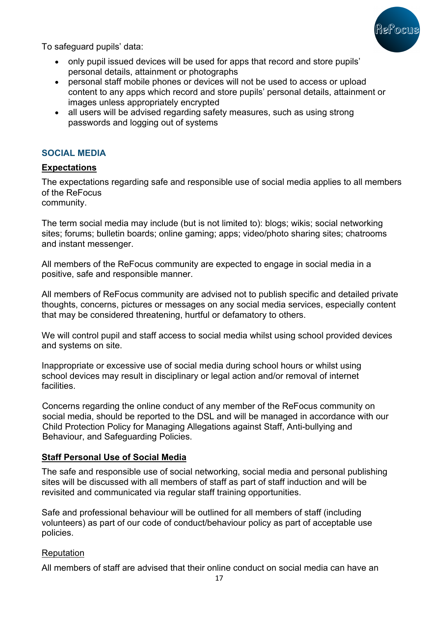

To safeguard pupils' data:

- only pupil issued devices will be used for apps that record and store pupils' personal details, attainment or photographs
- personal staff mobile phones or devices will not be used to access or upload content to any apps which record and store pupils' personal details, attainment or images unless appropriately encrypted
- all users will be advised regarding safety measures, such as using strong passwords and logging out of systems

#### **SOCIAL MEDIA**

### **Expectations**

The expectations regarding safe and responsible use of social media applies to all members of the ReFocus

community.

The term social media may include (but is not limited to): blogs; wikis; social networking sites; forums; bulletin boards; online gaming; apps; video/photo sharing sites; chatrooms and instant messenger.

All members of the ReFocus community are expected to engage in social media in a positive, safe and responsible manner.

All members of ReFocus community are advised not to publish specific and detailed private thoughts, concerns, pictures or messages on any social media services, especially content that may be considered threatening, hurtful or defamatory to others.

We will control pupil and staff access to social media whilst using school provided devices and systems on site.

Inappropriate or excessive use of social media during school hours or whilst using school devices may result in disciplinary or legal action and/or removal of internet facilities.

Concerns regarding the online conduct of any member of the ReFocus community on social media, should be reported to the DSL and will be managed in accordance with our Child Protection Policy for Managing Allegations against Staff, Anti-bullying and Behaviour, and Safeguarding Policies.

#### **Staff Personal Use of Social Media**

The safe and responsible use of social networking, social media and personal publishing sites will be discussed with all members of staff as part of staff induction and will be revisited and communicated via regular staff training opportunities.

Safe and professional behaviour will be outlined for all members of staff (including volunteers) as part of our code of conduct/behaviour policy as part of acceptable use policies.

#### **Reputation**

All members of staff are advised that their online conduct on social media can have an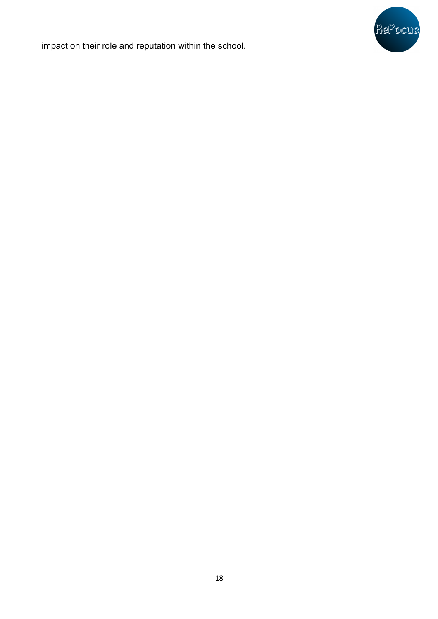

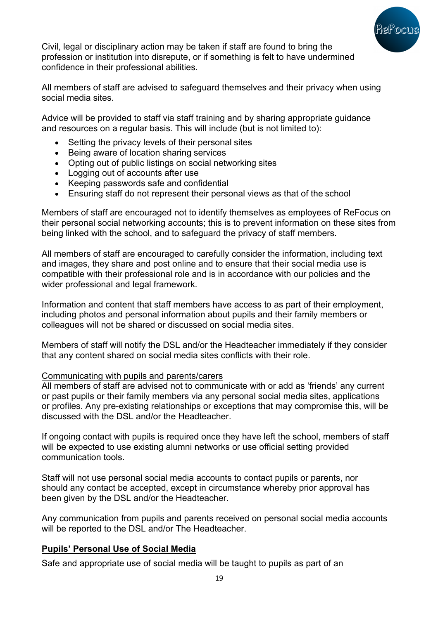

Civil, legal or disciplinary action may be taken if staff are found to bring the profession or institution into disrepute, or if something is felt to have undermined confidence in their professional abilities.

All members of staff are advised to safeguard themselves and their privacy when using social media sites.

Advice will be provided to staff via staff training and by sharing appropriate guidance and resources on a regular basis. This will include (but is not limited to):

- Setting the privacy levels of their personal sites
- Being aware of location sharing services
- Opting out of public listings on social networking sites
- Logging out of accounts after use
- Keeping passwords safe and confidential
- Ensuring staff do not represent their personal views as that of the school

Members of staff are encouraged not to identify themselves as employees of ReFocus on their personal social networking accounts; this is to prevent information on these sites from being linked with the school, and to safeguard the privacy of staff members.

All members of staff are encouraged to carefully consider the information, including text and images, they share and post online and to ensure that their social media use is compatible with their professional role and is in accordance with our policies and the wider professional and legal framework.

Information and content that staff members have access to as part of their employment, including photos and personal information about pupils and their family members or colleagues will not be shared or discussed on social media sites.

Members of staff will notify the DSL and/or the Headteacher immediately if they consider that any content shared on social media sites conflicts with their role.

#### Communicating with pupils and parents/carers

All members of staff are advised not to communicate with or add as 'friends' any current or past pupils or their family members via any personal social media sites, applications or profiles. Any pre-existing relationships or exceptions that may compromise this, will be discussed with the DSL and/or the Headteacher.

If ongoing contact with pupils is required once they have left the school, members of staff will be expected to use existing alumni networks or use official setting provided communication tools.

Staff will not use personal social media accounts to contact pupils or parents, nor should any contact be accepted, except in circumstance whereby prior approval has been given by the DSL and/or the Headteacher.

Any communication from pupils and parents received on personal social media accounts will be reported to the DSL and/or The Headteacher.

#### **Pupils' Personal Use of Social Media**

Safe and appropriate use of social media will be taught to pupils as part of an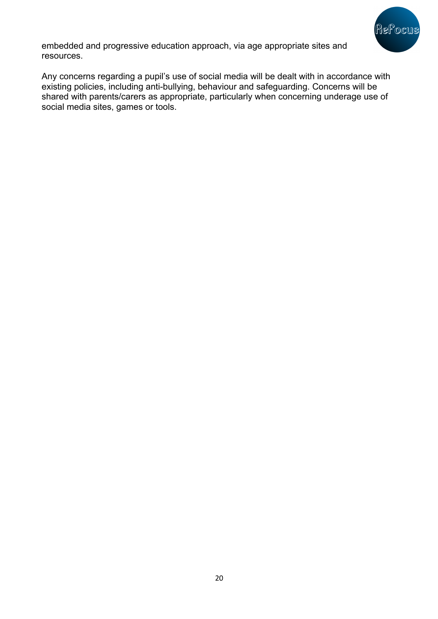

embedded and progressive education approach, via age appropriate sites and resources.

Any concerns regarding a pupil's use of social media will be dealt with in accordance with existing policies, including anti-bullying, behaviour and safeguarding. Concerns will be shared with parents/carers as appropriate, particularly when concerning underage use of social media sites, games or tools.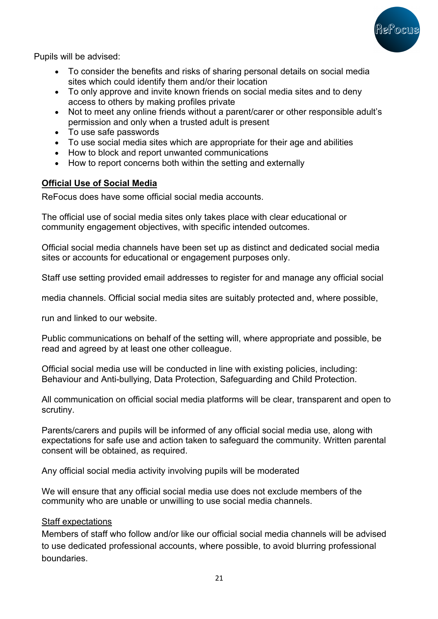

Pupils will be advised:

- To consider the benefits and risks of sharing personal details on social media sites which could identify them and/or their location
- To only approve and invite known friends on social media sites and to deny access to others by making profiles private
- Not to meet any online friends without a parent/carer or other responsible adult's permission and only when a trusted adult is present
- To use safe passwords
- To use social media sites which are appropriate for their age and abilities
- How to block and report unwanted communications
- How to report concerns both within the setting and externally

### **Official Use of Social Media**

ReFocus does have some official social media accounts.

The official use of social media sites only takes place with clear educational or community engagement objectives, with specific intended outcomes.

Official social media channels have been set up as distinct and dedicated social media sites or accounts for educational or engagement purposes only.

Staff use setting provided email addresses to register for and manage any official social

media channels. Official social media sites are suitably protected and, where possible,

run and linked to our website.

Public communications on behalf of the setting will, where appropriate and possible, be read and agreed by at least one other colleague.

Official social media use will be conducted in line with existing policies, including: Behaviour and Anti-bullying, Data Protection, Safeguarding and Child Protection.

All communication on official social media platforms will be clear, transparent and open to scrutiny.

Parents/carers and pupils will be informed of any official social media use, along with expectations for safe use and action taken to safeguard the community. Written parental consent will be obtained, as required.

Any official social media activity involving pupils will be moderated

We will ensure that any official social media use does not exclude members of the community who are unable or unwilling to use social media channels.

#### Staff expectations

Members of staff who follow and/or like our official social media channels will be advised to use dedicated professional accounts, where possible, to avoid blurring professional boundaries.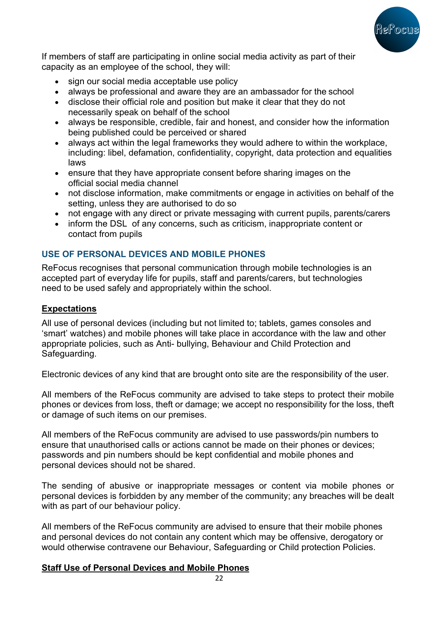

If members of staff are participating in online social media activity as part of their capacity as an employee of the school, they will:

- sign our social media acceptable use policy
- always be professional and aware they are an ambassador for the school
- disclose their official role and position but make it clear that they do not necessarily speak on behalf of the school
- always be responsible, credible, fair and honest, and consider how the information being published could be perceived or shared
- always act within the legal frameworks they would adhere to within the workplace, including: libel, defamation, confidentiality, copyright, data protection and equalities laws
- ensure that they have appropriate consent before sharing images on the official social media channel
- not disclose information, make commitments or engage in activities on behalf of the setting, unless they are authorised to do so
- not engage with any direct or private messaging with current pupils, parents/carers
- inform the DSL of any concerns, such as criticism, inappropriate content or contact from pupils

## **USE OF PERSONAL DEVICES AND MOBILE PHONES**

ReFocus recognises that personal communication through mobile technologies is an accepted part of everyday life for pupils, staff and parents/carers, but technologies need to be used safely and appropriately within the school.

## **Expectations**

All use of personal devices (including but not limited to; tablets, games consoles and 'smart' watches) and mobile phones will take place in accordance with the law and other appropriate policies, such as Anti- bullying, Behaviour and Child Protection and Safeguarding.

Electronic devices of any kind that are brought onto site are the responsibility of the user.

All members of the ReFocus community are advised to take steps to protect their mobile phones or devices from loss, theft or damage; we accept no responsibility for the loss, theft or damage of such items on our premises.

All members of the ReFocus community are advised to use passwords/pin numbers to ensure that unauthorised calls or actions cannot be made on their phones or devices; passwords and pin numbers should be kept confidential and mobile phones and personal devices should not be shared.

The sending of abusive or inappropriate messages or content via mobile phones or personal devices is forbidden by any member of the community; any breaches will be dealt with as part of our behaviour policy.

All members of the ReFocus community are advised to ensure that their mobile phones and personal devices do not contain any content which may be offensive, derogatory or would otherwise contravene our Behaviour, Safeguarding or Child protection Policies.

## **Staff Use of Personal Devices and Mobile Phones**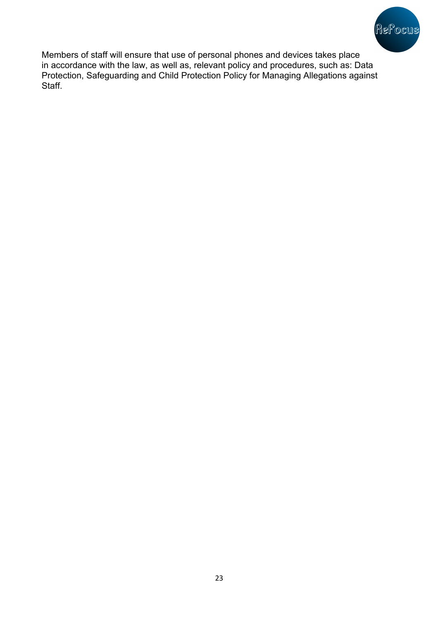

Members of staff will ensure that use of personal phones and devices takes place in accordance with the law, as well as, relevant policy and procedures, such as: Data Protection, Safeguarding and Child Protection Policy for Managing Allegations against Staff.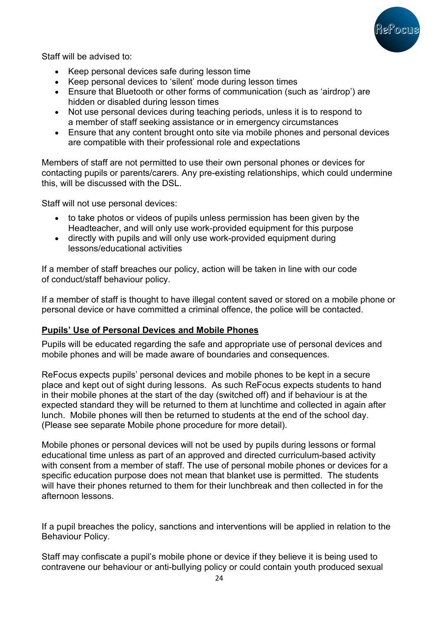

Staff will be advised to:

- Keep personal devices safe during lesson time
- Keep personal devices to 'silent' mode during lesson times
- Ensure that Bluetooth or other forms of communication (such as 'airdrop') are hidden or disabled during lesson times
- Not use personal devices during teaching periods, unless it is to respond to a member of staff seeking assistance or in emergency circumstances
- Ensure that any content brought onto site via mobile phones and personal devices are compatible with their professional role and expectations

Members of staff are not permitted to use their own personal phones or devices for contacting pupils or parents/carers. Any pre-existing relationships, which could undermine this, will be discussed with the DSL.

Staff will not use personal devices:

- to take photos or videos of pupils unless permission has been given by the Headteacher, and will only use work-provided equipment for this purpose
- directly with pupils and will only use work-provided equipment during lessons/educational activities

If a member of staff breaches our policy, action will be taken in line with our code of conduct/staff behaviour policy.

If a member of staff is thought to have illegal content saved or stored on a mobile phone or personal device or have committed a criminal offence, the police will be contacted.

#### **Pupils' Use of Personal Devices and Mobile Phones**

Pupils will be educated regarding the safe and appropriate use of personal devices and mobile phones and will be made aware of boundaries and consequences.

ReFocus expects pupils' personal devices and mobile phones to be kept in a secure place and kept out of sight during lessons. As such ReFocus expects students to hand in their mobile phones at the start of the day (switched off) and if behaviour is at the expected standard they will be returned to them at lunchtime and collected in again after lunch. Mobile phones will then be returned to students at the end of the school day. (Please see separate Mobile phone procedure for more detail).

Mobile phones or personal devices will not be used by pupils during lessons or formal educational time unless as part of an approved and directed curriculum-based activity with consent from a member of staff. The use of personal mobile phones or devices for a specific education purpose does not mean that blanket use is permitted. The students will have their phones returned to them for their lunchbreak and then collected in for the afternoon lessons.

If a pupil breaches the policy, sanctions and interventions will be applied in relation to the Behaviour Policy.

Staff may confiscate a pupil's mobile phone or device if they believe it is being used to contravene our behaviour or anti-bullying policy or could contain youth produced sexual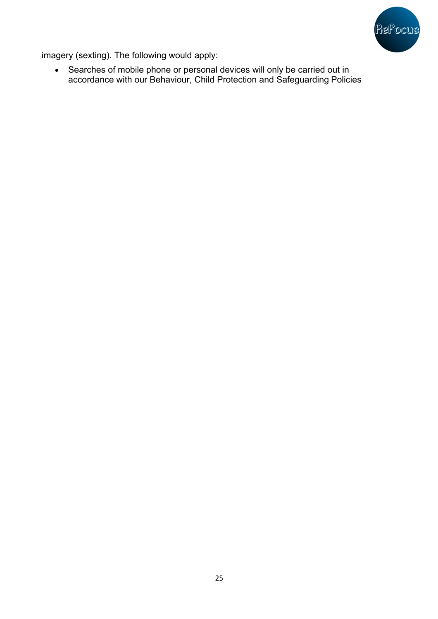

imagery (sexting). The following would apply:

• Searches of mobile phone or personal devices will only be carried out in accordance with our Behaviour, Child Protection and Safeguarding Policies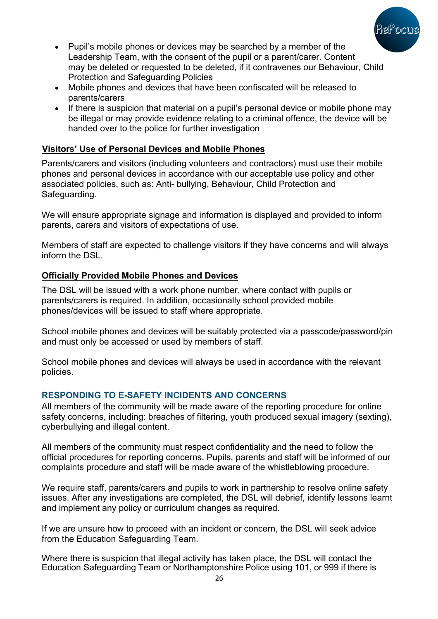

- Pupil's mobile phones or devices may be searched by a member of the Leadership Team, with the consent of the pupil or a parent/carer. Content may be deleted or requested to be deleted, if it contravenes our Behaviour, Child Protection and Safeguarding Policies
- Mobile phones and devices that have been confiscated will be released to parents/carers
- If there is suspicion that material on a pupil's personal device or mobile phone may be illegal or may provide evidence relating to a criminal offence, the device will be handed over to the police for further investigation

## **Visitors' Use of Personal Devices and Mobile Phones**

Parents/carers and visitors (including volunteers and contractors) must use their mobile phones and personal devices in accordance with our acceptable use policy and other associated policies, such as: Anti- bullying, Behaviour, Child Protection and Safeguarding.

We will ensure appropriate signage and information is displayed and provided to inform parents, carers and visitors of expectations of use.

Members of staff are expected to challenge visitors if they have concerns and will always inform the DSL.

## **Officially Provided Mobile Phones and Devices**

The DSL will be issued with a work phone number, where contact with pupils or parents/carers is required. In addition, occasionally school provided mobile phones/devices will be issued to staff where appropriate.

School mobile phones and devices will be suitably protected via a passcode/password/pin and must only be accessed or used by members of staff.

School mobile phones and devices will always be used in accordance with the relevant policies.

## **RESPONDING TO E-SAFETY INCIDENTS AND CONCERNS**

All members of the community will be made aware of the reporting procedure for online safety concerns, including: breaches of filtering, youth produced sexual imagery (sexting), cyberbullying and illegal content.

All members of the community must respect confidentiality and the need to follow the official procedures for reporting concerns. Pupils, parents and staff will be informed of our complaints procedure and staff will be made aware of the whistleblowing procedure.

We require staff, parents/carers and pupils to work in partnership to resolve online safety issues. After any investigations are completed, the DSL will debrief, identify lessons learnt and implement any policy or curriculum changes as required.

If we are unsure how to proceed with an incident or concern, the DSL will seek advice from the Education Safeguarding Team.

Where there is suspicion that illegal activity has taken place, the DSL will contact the Education Safeguarding Team or Northamptonshire Police using 101, or 999 if there is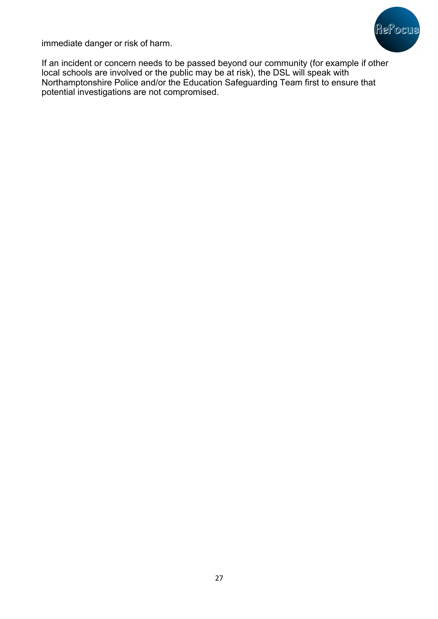

immediate danger or risk of harm.

If an incident or concern needs to be passed beyond our community (for example if other local schools are involved or the public may be at risk), the DSL will speak with Northamptonshire Police and/or the Education Safeguarding Team first to ensure that potential investigations are not compromised.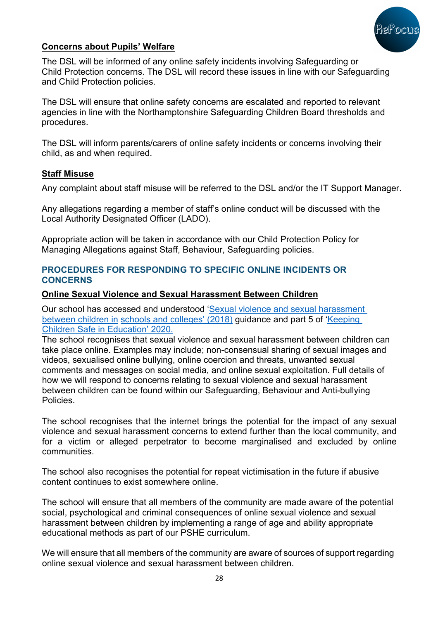

### **Concerns about Pupils' Welfare**

The DSL will be informed of any online safety incidents involving Safeguarding or Child Protection concerns. The DSL will record these issues in line with our Safeguarding and Child Protection policies.

The DSL will ensure that online safety concerns are escalated and reported to relevant agencies in line with the Northamptonshire Safeguarding Children Board thresholds and procedures.

The DSL will inform parents/carers of online safety incidents or concerns involving their child, as and when required.

#### **Staff Misuse**

Any complaint about staff misuse will be referred to the DSL and/or the IT Support Manager.

Any allegations regarding a member of staff's online conduct will be discussed with the Local Authority Designated Officer (LADO).

Appropriate action will be taken in accordance with our Child Protection Policy for Managing Allegations against Staff, Behaviour, Safeguarding policies.

#### **PROCEDURES FOR RESPONDING TO SPECIFIC ONLINE INCIDENTS OR CONCERNS**

#### **Online Sexual Violence and Sexual Harassment Between Children**

Our school has accessed and understood 'Sexual violence and sexual harassment between children in schools and colleges' (2018) guidance and part 5 of 'Keeping Children Safe in Education' 2020.

The school recognises that sexual violence and sexual harassment between children can take place online. Examples may include; non-consensual sharing of sexual images and videos, sexualised online bullying, online coercion and threats, unwanted sexual comments and messages on social media, and online sexual exploitation. Full details of how we will respond to concerns relating to sexual violence and sexual harassment between children can be found within our Safeguarding, Behaviour and Anti-bullying Policies.

The school recognises that the internet brings the potential for the impact of any sexual violence and sexual harassment concerns to extend further than the local community, and for a victim or alleged perpetrator to become marginalised and excluded by online communities.

The school also recognises the potential for repeat victimisation in the future if abusive content continues to exist somewhere online.

The school will ensure that all members of the community are made aware of the potential social, psychological and criminal consequences of online sexual violence and sexual harassment between children by implementing a range of age and ability appropriate educational methods as part of our PSHE curriculum.

We will ensure that all members of the community are aware of sources of support regarding online sexual violence and sexual harassment between children.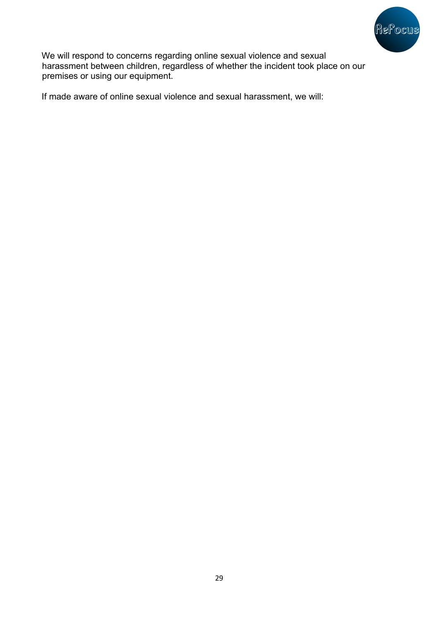

We will respond to concerns regarding online sexual violence and sexual harassment between children, regardless of whether the incident took place on our premises or using our equipment.

If made aware of online sexual violence and sexual harassment, we will: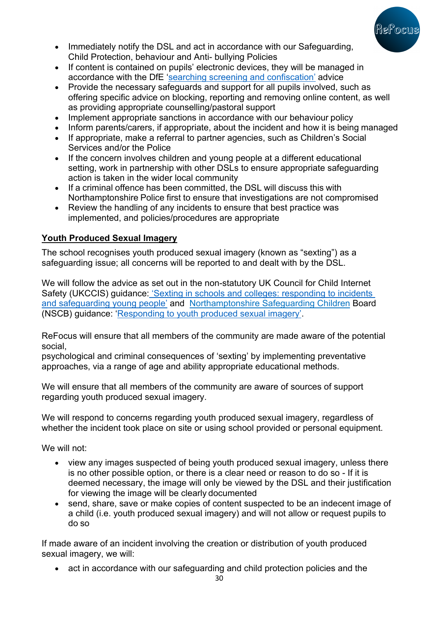

- Immediately notify the DSL and act in accordance with our Safeguarding, Child Protection, behaviour and Anti- bullying Policies
- If content is contained on pupils' electronic devices, they will be managed in accordance with the DfE 'searching screening and confiscation' advice
- Provide the necessary safeguards and support for all pupils involved, such as offering specific advice on blocking, reporting and removing online content, as well as providing appropriate counselling/pastoral support
- Implement appropriate sanctions in accordance with our behaviour policy
- Inform parents/carers, if appropriate, about the incident and how it is being managed
- If appropriate, make a referral to partner agencies, such as Children's Social Services and/or the Police
- If the concern involves children and young people at a different educational setting, work in partnership with other DSLs to ensure appropriate safeguarding action is taken in the wider local community
- If a criminal offence has been committed, the DSL will discuss this with Northamptonshire Police first to ensure that investigations are not compromised
- Review the handling of any incidents to ensure that best practice was implemented, and policies/procedures are appropriate

## **Youth Produced Sexual Imagery**

The school recognises youth produced sexual imagery (known as "sexting") as a safeguarding issue; all concerns will be reported to and dealt with by the DSL.

We will follow the advice as set out in the non-statutory UK Council for Child Internet Safety (UKCCIS) guidance: 'Sexting in schools and colleges: responding to incidents and safeguarding young people' and Northamptonshire Safeguarding Children Board (NSCB) guidance: 'Responding to youth produced sexual imagery'.

ReFocus will ensure that all members of the community are made aware of the potential social,

psychological and criminal consequences of 'sexting' by implementing preventative approaches, via a range of age and ability appropriate educational methods.

We will ensure that all members of the community are aware of sources of support regarding youth produced sexual imagery.

We will respond to concerns regarding youth produced sexual imagery, regardless of whether the incident took place on site or using school provided or personal equipment.

We will not:

- view any images suspected of being youth produced sexual imagery, unless there is no other possible option, or there is a clear need or reason to do so - If it is deemed necessary, the image will only be viewed by the DSL and their justification for viewing the image will be clearly documented
- send, share, save or make copies of content suspected to be an indecent image of a child (i.e. youth produced sexual imagery) and will not allow or request pupils to do so

If made aware of an incident involving the creation or distribution of youth produced sexual imagery, we will:

• act in accordance with our safeguarding and child protection policies and the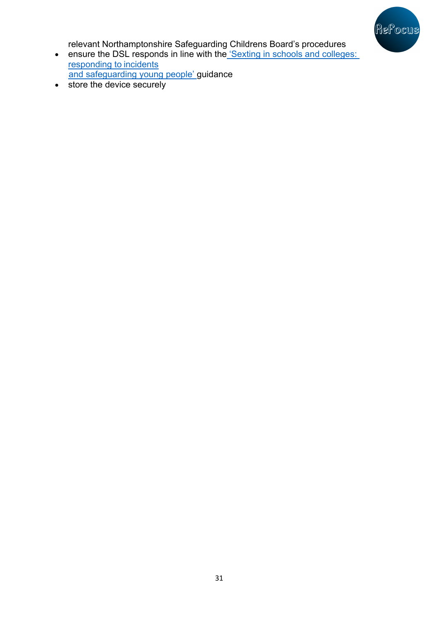

relevant Northamptonshire Safeguarding Childrens Board's procedures

- ensure the DSL responds in line with the Sexting in schools and colleges: responding to incidents and safeguarding young people' guidance
- store the device securely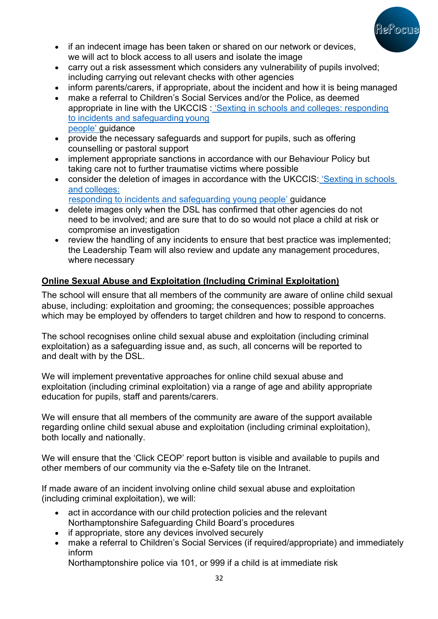

- if an indecent image has been taken or shared on our network or devices, we will act to block access to all users and isolate the image
- carry out a risk assessment which considers any vulnerability of pupils involved; including carrying out relevant checks with other agencies
- inform parents/carers, if appropriate, about the incident and how it is being managed
- make a referral to Children's Social Services and/or the Police, as deemed appropriate in line with the UKCCIS : 'Sexting in schools and colleges: responding to incidents and safeguarding young people' guidance
- provide the necessary safeguards and support for pupils, such as offering counselling or pastoral support
- implement appropriate sanctions in accordance with our Behaviour Policy but taking care not to further traumatise victims where possible
- consider the deletion of images in accordance with the UKCCIS: 'Sexting in schools' and colleges: responding to incidents and safeguarding young people' guidance
- delete images only when the DSL has confirmed that other agencies do not need to be involved; and are sure that to do so would not place a child at risk or compromise an investigation
- review the handling of any incidents to ensure that best practice was implemented; the Leadership Team will also review and update any management procedures, where necessary

# **Online Sexual Abuse and Exploitation (Including Criminal Exploitation)**

The school will ensure that all members of the community are aware of online child sexual abuse, including: exploitation and grooming; the consequences; possible approaches which may be employed by offenders to target children and how to respond to concerns.

The school recognises online child sexual abuse and exploitation (including criminal exploitation) as a safeguarding issue and, as such, all concerns will be reported to and dealt with by the DSL.

We will implement preventative approaches for online child sexual abuse and exploitation (including criminal exploitation) via a range of age and ability appropriate education for pupils, staff and parents/carers.

We will ensure that all members of the community are aware of the support available regarding online child sexual abuse and exploitation (including criminal exploitation), both locally and nationally.

We will ensure that the 'Click CEOP' report button is visible and available to pupils and other members of our community via the e-Safety tile on the Intranet.

If made aware of an incident involving online child sexual abuse and exploitation (including criminal exploitation), we will:

- act in accordance with our child protection policies and the relevant Northamptonshire Safeguarding Child Board's procedures
- if appropriate, store any devices involved securely
- make a referral to Children's Social Services (if required/appropriate) and immediately inform

Northamptonshire police via 101, or 999 if a child is at immediate risk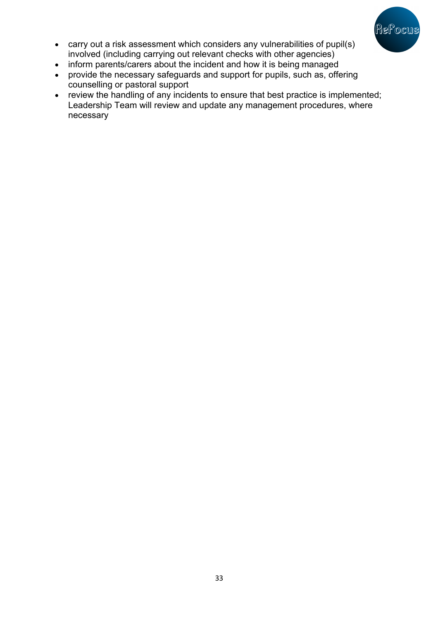

- carry out a risk assessment which considers any vulnerabilities of pupil(s) involved (including carrying out relevant checks with other agencies)
- inform parents/carers about the incident and how it is being managed
- provide the necessary safeguards and support for pupils, such as, offering counselling or pastoral support
- review the handling of any incidents to ensure that best practice is implemented; Leadership Team will review and update any management procedures, where necessary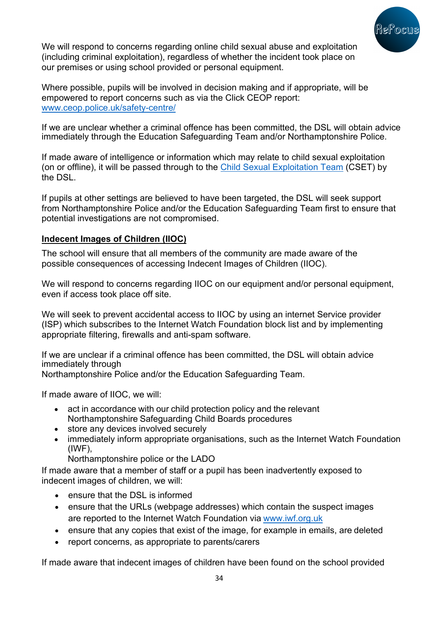

We will respond to concerns regarding online child sexual abuse and exploitation (including criminal exploitation), regardless of whether the incident took place on our premises or using school provided or personal equipment.

Where possible, pupils will be involved in decision making and if appropriate, will be empowered to report concerns such as via the Click CEOP report: www.ceop.police.uk/safety-centre/

If we are unclear whether a criminal offence has been committed, the DSL will obtain advice immediately through the Education Safeguarding Team and/or Northamptonshire Police.

If made aware of intelligence or information which may relate to child sexual exploitation (on or offline), it will be passed through to the Child Sexual Exploitation Team (CSET) by the DSL.

If pupils at other settings are believed to have been targeted, the DSL will seek support from Northamptonshire Police and/or the Education Safeguarding Team first to ensure that potential investigations are not compromised.

### **Indecent Images of Children (IIOC)**

The school will ensure that all members of the community are made aware of the possible consequences of accessing Indecent Images of Children (IIOC).

We will respond to concerns regarding IIOC on our equipment and/or personal equipment, even if access took place off site.

We will seek to prevent accidental access to IIOC by using an internet Service provider (ISP) which subscribes to the Internet Watch Foundation block list and by implementing appropriate filtering, firewalls and anti-spam software.

If we are unclear if a criminal offence has been committed, the DSL will obtain advice immediately through

Northamptonshire Police and/or the Education Safeguarding Team.

If made aware of IIOC, we will:

- act in accordance with our child protection policy and the relevant Northamptonshire Safeguarding Child Boards procedures
- store any devices involved securely
- immediately inform appropriate organisations, such as the Internet Watch Foundation (IWF),

Northamptonshire police or the LADO

If made aware that a member of staff or a pupil has been inadvertently exposed to indecent images of children, we will:

- ensure that the DSL is informed
- ensure that the URLs (webpage addresses) which contain the suspect images are reported to the Internet Watch Foundation via www.iwf.org.uk
- ensure that any copies that exist of the image, for example in emails, are deleted
- report concerns, as appropriate to parents/carers

If made aware that indecent images of children have been found on the school provided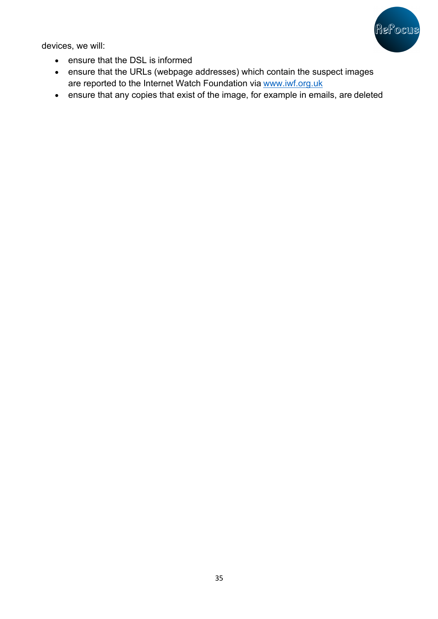

devices, we will:

- ensure that the DSL is informed
- ensure that the URLs (webpage addresses) which contain the suspect images are reported to the Internet Watch Foundation via www.iwf.org.uk
- ensure that any copies that exist of the image, for example in emails, are deleted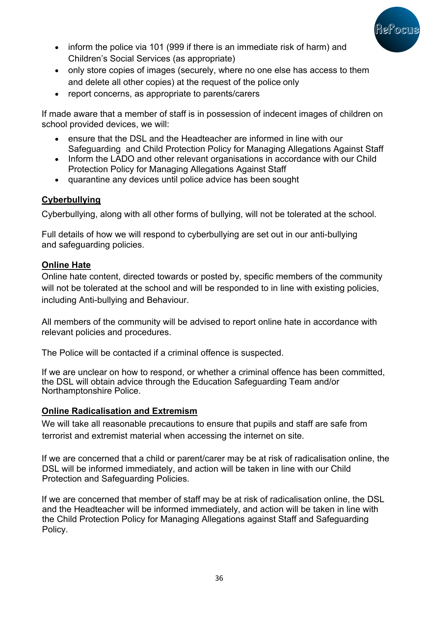

- inform the police via 101 (999 if there is an immediate risk of harm) and Children's Social Services (as appropriate)
- only store copies of images (securely, where no one else has access to them and delete all other copies) at the request of the police only
- report concerns, as appropriate to parents/carers

If made aware that a member of staff is in possession of indecent images of children on school provided devices, we will:

- ensure that the DSL and the Headteacher are informed in line with our Safeguarding and Child Protection Policy for Managing Allegations Against Staff
- Inform the LADO and other relevant organisations in accordance with our Child Protection Policy for Managing Allegations Against Staff
- quarantine any devices until police advice has been sought

## **Cyberbullying**

Cyberbullying, along with all other forms of bullying, will not be tolerated at the school.

Full details of how we will respond to cyberbullying are set out in our anti-bullying and safeguarding policies.

## **Online Hate**

Online hate content, directed towards or posted by, specific members of the community will not be tolerated at the school and will be responded to in line with existing policies, including Anti-bullying and Behaviour.

All members of the community will be advised to report online hate in accordance with relevant policies and procedures.

The Police will be contacted if a criminal offence is suspected.

If we are unclear on how to respond, or whether a criminal offence has been committed, the DSL will obtain advice through the Education Safeguarding Team and/or Northamptonshire Police.

## **Online Radicalisation and Extremism**

We will take all reasonable precautions to ensure that pupils and staff are safe from terrorist and extremist material when accessing the internet on site.

If we are concerned that a child or parent/carer may be at risk of radicalisation online, the DSL will be informed immediately, and action will be taken in line with our Child Protection and Safeguarding Policies.

If we are concerned that member of staff may be at risk of radicalisation online, the DSL and the Headteacher will be informed immediately, and action will be taken in line with the Child Protection Policy for Managing Allegations against Staff and Safeguarding Policy.